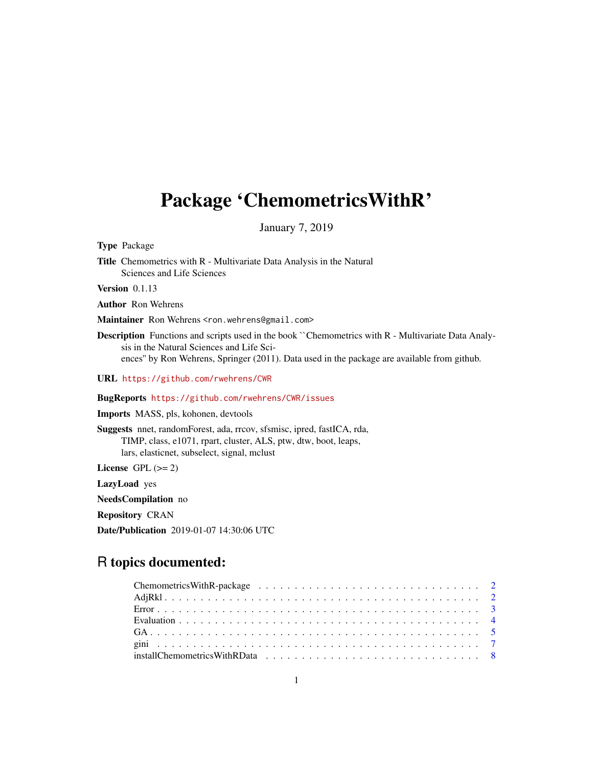# Package 'ChemometricsWithR'

January 7, 2019

Type Package

Title Chemometrics with R - Multivariate Data Analysis in the Natural Sciences and Life Sciences

Version 0.1.13

Author Ron Wehrens

Maintainer Ron Wehrens <ron.wehrens@gmail.com>

Description Functions and scripts used in the book ``Chemometrics with R - Multivariate Data Analysis in the Natural Sciences and Life Sciences'' by Ron Wehrens, Springer (2011). Data used in the package are available from github.

URL <https://github.com/rwehrens/CWR>

#### BugReports <https://github.com/rwehrens/CWR/issues>

Imports MASS, pls, kohonen, devtools

Suggests nnet, randomForest, ada, rrcov, sfsmisc, ipred, fastICA, rda, TIMP, class, e1071, rpart, cluster, ALS, ptw, dtw, boot, leaps, lars, elasticnet, subselect, signal, mclust

License GPL  $(>= 2)$ 

LazyLoad yes

NeedsCompilation no

Repository CRAN

Date/Publication 2019-01-07 14:30:06 UTC

# R topics documented: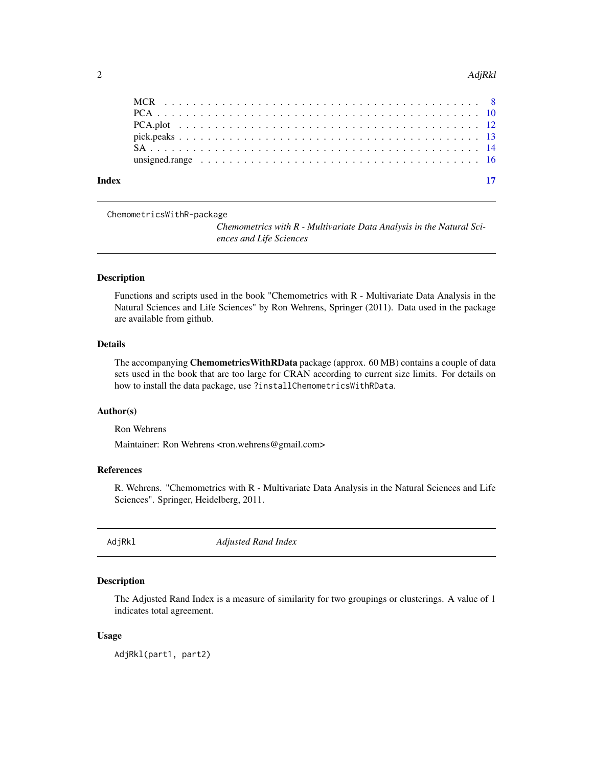#### <span id="page-1-0"></span> $2$  AdjRkl

| Index |  |  |  |  |  |  |  |  |  |  |  |  |  |  |  |  |  |
|-------|--|--|--|--|--|--|--|--|--|--|--|--|--|--|--|--|--|
|       |  |  |  |  |  |  |  |  |  |  |  |  |  |  |  |  |  |
|       |  |  |  |  |  |  |  |  |  |  |  |  |  |  |  |  |  |
|       |  |  |  |  |  |  |  |  |  |  |  |  |  |  |  |  |  |
|       |  |  |  |  |  |  |  |  |  |  |  |  |  |  |  |  |  |
|       |  |  |  |  |  |  |  |  |  |  |  |  |  |  |  |  |  |
|       |  |  |  |  |  |  |  |  |  |  |  |  |  |  |  |  |  |

ChemometricsWithR-package

*Chemometrics with R - Multivariate Data Analysis in the Natural Sciences and Life Sciences*

# Description

Functions and scripts used in the book "Chemometrics with R - Multivariate Data Analysis in the Natural Sciences and Life Sciences" by Ron Wehrens, Springer (2011). Data used in the package are available from github.

#### Details

The accompanying **Chemometrics WithRData** package (approx. 60 MB) contains a couple of data sets used in the book that are too large for CRAN according to current size limits. For details on how to install the data package, use ?installChemometricsWithRData.

# Author(s)

Ron Wehrens

Maintainer: Ron Wehrens <ron.wehrens@gmail.com>

#### References

R. Wehrens. "Chemometrics with R - Multivariate Data Analysis in the Natural Sciences and Life Sciences". Springer, Heidelberg, 2011.

AdjRkl *Adjusted Rand Index*

#### Description

The Adjusted Rand Index is a measure of similarity for two groupings or clusterings. A value of 1 indicates total agreement.

#### Usage

AdjRkl(part1, part2)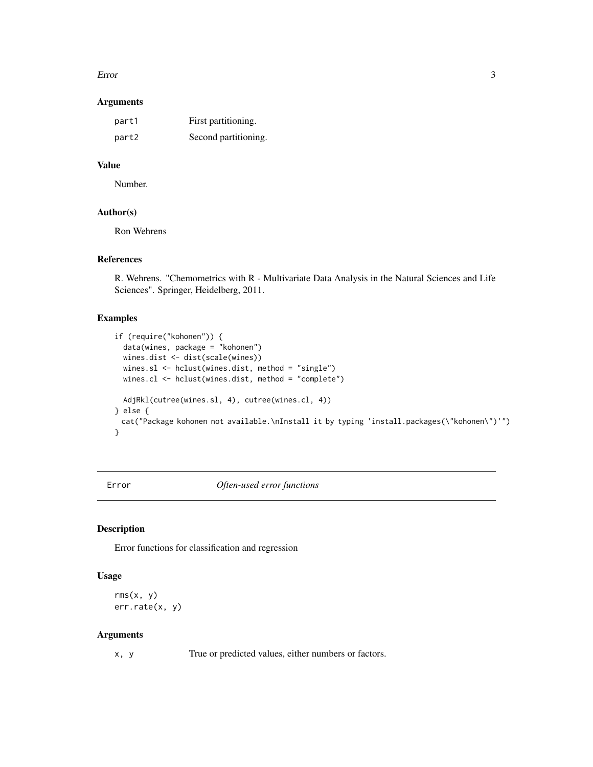#### <span id="page-2-0"></span>Error 3

#### Arguments

| part1 | First partitioning.  |
|-------|----------------------|
| part2 | Second partitioning. |

# Value

Number.

# Author(s)

Ron Wehrens

# References

R. Wehrens. "Chemometrics with R - Multivariate Data Analysis in the Natural Sciences and Life Sciences". Springer, Heidelberg, 2011.

# Examples

```
if (require("kohonen")) {
 data(wines, package = "kohonen")
 wines.dist <- dist(scale(wines))
 wines.sl <- hclust(wines.dist, method = "single")
 wines.cl <- hclust(wines.dist, method = "complete")
 AdjRkl(cutree(wines.sl, 4), cutree(wines.cl, 4))
} else {
 cat("Package kohonen not available.\nInstall it by typing 'install.packages(\"kohonen\")'")
}
```
Error *Often-used error functions*

# Description

Error functions for classification and regression

# Usage

```
rms(x, y)err.rate(x, y)
```
# Arguments

x, y True or predicted values, either numbers or factors.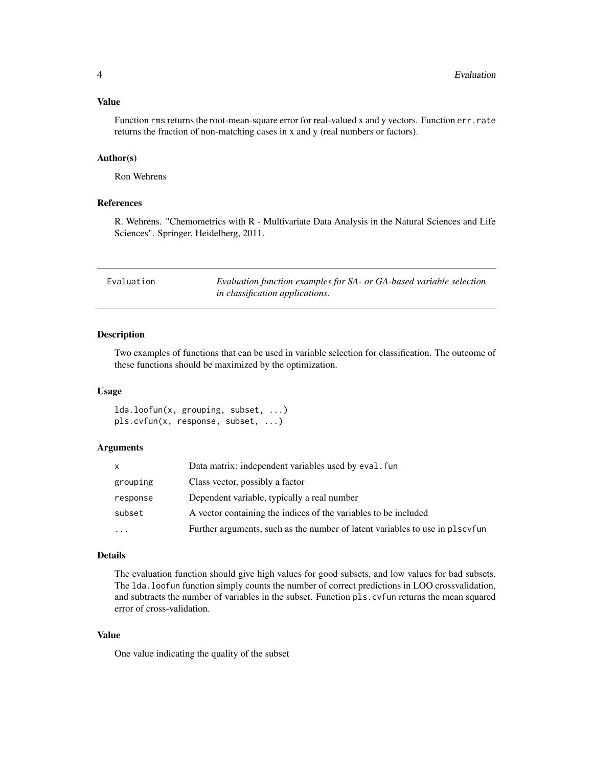#### <span id="page-3-0"></span>Value

Function rms returns the root-mean-square error for real-valued x and y vectors. Function err.rate returns the fraction of non-matching cases in x and y (real numbers or factors).

#### Author(s)

Ron Wehrens

# References

R. Wehrens. "Chemometrics with R - Multivariate Data Analysis in the Natural Sciences and Life Sciences". Springer, Heidelberg, 2011.

<span id="page-3-1"></span>

| Evaluation | Evaluation function examples for SA- or GA-based variable selection |
|------------|---------------------------------------------------------------------|
|            | <i>in classification applications.</i>                              |

# Description

Two examples of functions that can be used in variable selection for classification. The outcome of these functions should be maximized by the optimization.

#### Usage

lda.loofun(x, grouping, subset, ...) pls.cvfun(x, response, subset, ...)

#### Arguments

| x        | Data matrix: independent variables used by eval. fun                         |
|----------|------------------------------------------------------------------------------|
| grouping | Class vector, possibly a factor                                              |
| response | Dependent variable, typically a real number                                  |
| subset   | A vector containing the indices of the variables to be included              |
| $\cdots$ | Further arguments, such as the number of latent variables to use in plscyfun |

#### Details

The evaluation function should give high values for good subsets, and low values for bad subsets. The lda.loofun function simply counts the number of correct predictions in LOO crossvalidation, and subtracts the number of variables in the subset. Function pls.cvfun returns the mean squared error of cross-validation.

# Value

One value indicating the quality of the subset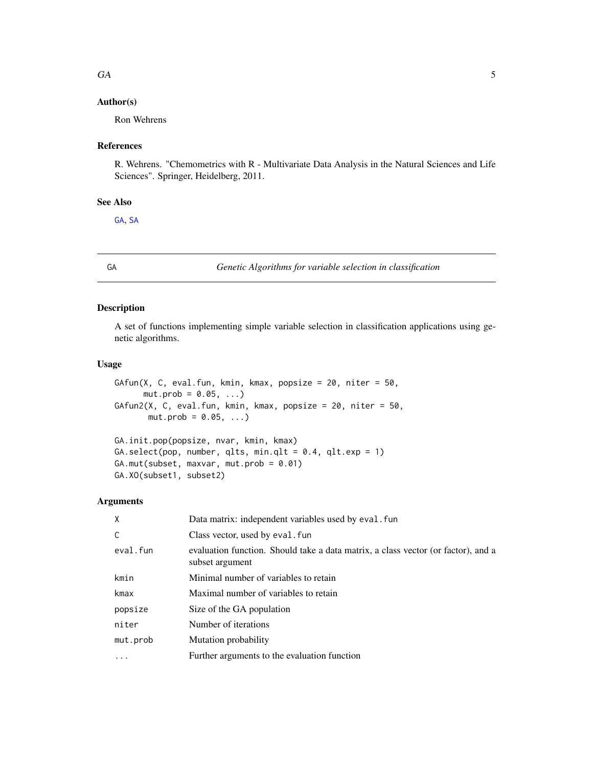#### <span id="page-4-0"></span> $GA$  5

# Author(s)

Ron Wehrens

# References

R. Wehrens. "Chemometrics with R - Multivariate Data Analysis in the Natural Sciences and Life Sciences". Springer, Heidelberg, 2011.

# See Also

[GA](#page-4-1), [SA](#page-13-1)

<span id="page-4-1"></span>

GA *Genetic Algorithms for variable selection in classification*

# Description

A set of functions implementing simple variable selection in classification applications using genetic algorithms.

#### Usage

```
GAffun(X, C, eval.fun, kmin, kmax, popsize = 20, niter = 50,mut.prob = 0.05, ...GAfun2(X, C, eval.fun, kmin, kmax, popsize = 20, niter = 50,
      mut.prob = 0.05, ...)GA.init.pop(popsize, nvar, kmin, kmax)
GA.setect(pop, number, qlts, min. qlt = 0.4, qlt. exp = 1)GA.mut(subset, maxvar, mut.prob = 0.01)
GA.XO(subset1, subset2)
```
# Arguments

| X        | Data matrix: independent variables used by eval. fun                                                 |
|----------|------------------------------------------------------------------------------------------------------|
| C        | Class vector, used by eval. fun                                                                      |
| eval.fun | evaluation function. Should take a data matrix, a class vector (or factor), and a<br>subset argument |
| kmin     | Minimal number of variables to retain                                                                |
| kmax     | Maximal number of variables to retain                                                                |
| popsize  | Size of the GA population                                                                            |
| niter    | Number of iterations                                                                                 |
| mut.prob | Mutation probability                                                                                 |
| .        | Further arguments to the evaluation function                                                         |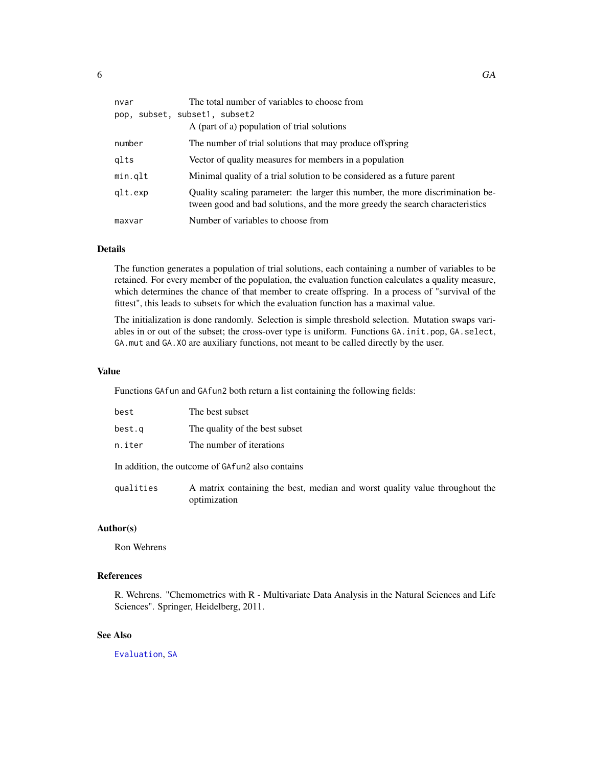<span id="page-5-0"></span>

| nvar    | The total number of variables to choose from<br>pop, subset, subset1, subset2<br>A (part of a) population of trial solutions                                   |
|---------|----------------------------------------------------------------------------------------------------------------------------------------------------------------|
| number  | The number of trial solutions that may produce offspring                                                                                                       |
| qlts    | Vector of quality measures for members in a population                                                                                                         |
| min.qlt | Minimal quality of a trial solution to be considered as a future parent                                                                                        |
| glt.exp | Quality scaling parameter: the larger this number, the more discrimination be-<br>tween good and bad solutions, and the more greedy the search characteristics |
| maxvar  | Number of variables to choose from                                                                                                                             |

#### Details

The function generates a population of trial solutions, each containing a number of variables to be retained. For every member of the population, the evaluation function calculates a quality measure, which determines the chance of that member to create offspring. In a process of "survival of the fittest", this leads to subsets for which the evaluation function has a maximal value.

The initialization is done randomly. Selection is simple threshold selection. Mutation swaps variables in or out of the subset; the cross-over type is uniform. Functions GA.init.pop, GA.select, GA.mut and GA.XO are auxiliary functions, not meant to be called directly by the user.

#### Value

Functions GAfun and GAfun2 both return a list containing the following fields:

| best      | The best subset                                                                             |
|-----------|---------------------------------------------------------------------------------------------|
| best.q    | The quality of the best subset                                                              |
| n.iter    | The number of iterations                                                                    |
|           | In addition, the outcome of GAfun2 also contains                                            |
| qualities | A matrix containing the best, median and worst quality value throughout the<br>optimization |

# Author(s)

Ron Wehrens

# References

R. Wehrens. "Chemometrics with R - Multivariate Data Analysis in the Natural Sciences and Life Sciences". Springer, Heidelberg, 2011.

# See Also

[Evaluation](#page-3-1), [SA](#page-13-1)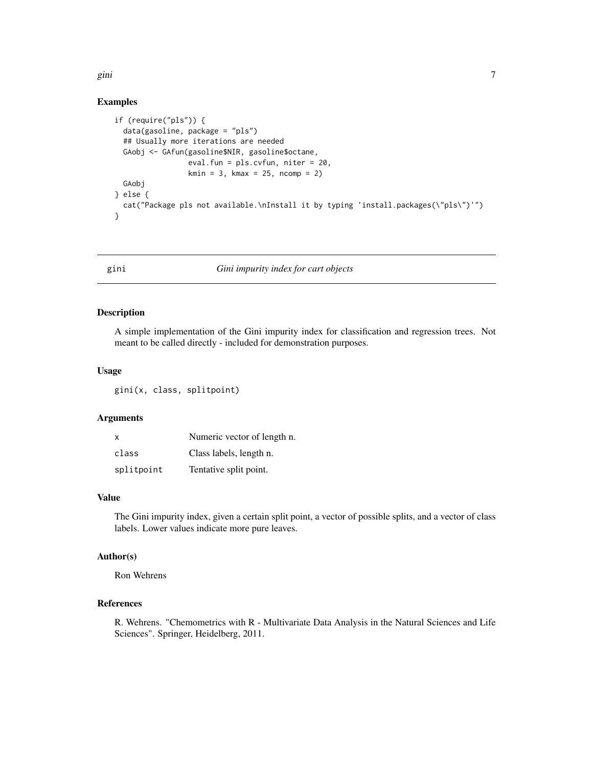<span id="page-6-0"></span>gini **7** and 2011 12:00 the set of the set of the set of the set of the set of the set of the set of the set of the set of the set of the set of the set of the set of the set of the set of the set of the set of the set of

### Examples

```
if (require("pls")) {
 data(gasoline, package = "pls")
 ## Usually more iterations are needed
 GAobj <- GAfun(gasoline$NIR, gasoline$octane,
                 eval.fun = pls.cvfun, niter = 20,
                 kmin = 3, kmax = 25, ncomp = 2)
 GAobj
} else {
 cat("Package pls not available.\nInstall it by typing 'install.packages(\"pls\")'")
}
```
gini *Gini impurity index for cart objects*

# Description

A simple implementation of the Gini impurity index for classification and regression trees. Not meant to be called directly - included for demonstration purposes.

#### Usage

gini(x, class, splitpoint)

#### Arguments

| $\times$   | Numeric vector of length n. |
|------------|-----------------------------|
| class      | Class labels, length n.     |
| splitpoint | Tentative split point.      |

# Value

The Gini impurity index, given a certain split point, a vector of possible splits, and a vector of class labels. Lower values indicate more pure leaves.

# Author(s)

Ron Wehrens

#### References

R. Wehrens. "Chemometrics with R - Multivariate Data Analysis in the Natural Sciences and Life Sciences". Springer, Heidelberg, 2011.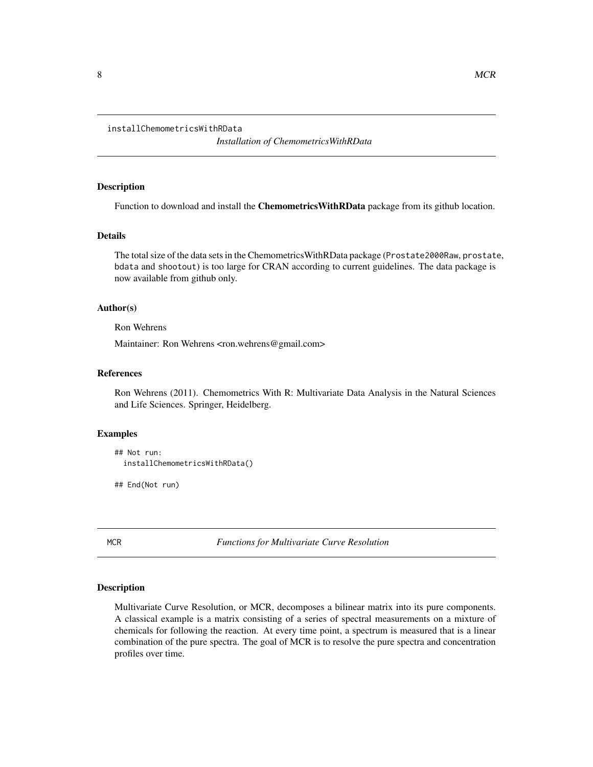<span id="page-7-0"></span>installChemometricsWithRData

*Installation of ChemometricsWithRData*

# Description

Function to download and install the **ChemometricsWithRData** package from its github location.

#### Details

The total size of the data sets in the ChemometricsWithRData package (Prostate2000Raw, prostate, bdata and shootout) is too large for CRAN according to current guidelines. The data package is now available from github only.

#### Author(s)

Ron Wehrens

Maintainer: Ron Wehrens <ron.wehrens@gmail.com>

# References

Ron Wehrens (2011). Chemometrics With R: Multivariate Data Analysis in the Natural Sciences and Life Sciences. Springer, Heidelberg.

#### Examples

```
## Not run:
 installChemometricsWithRData()
```
## End(Not run)

MCR *Functions for Multivariate Curve Resolution*

#### Description

Multivariate Curve Resolution, or MCR, decomposes a bilinear matrix into its pure components. A classical example is a matrix consisting of a series of spectral measurements on a mixture of chemicals for following the reaction. At every time point, a spectrum is measured that is a linear combination of the pure spectra. The goal of MCR is to resolve the pure spectra and concentration profiles over time.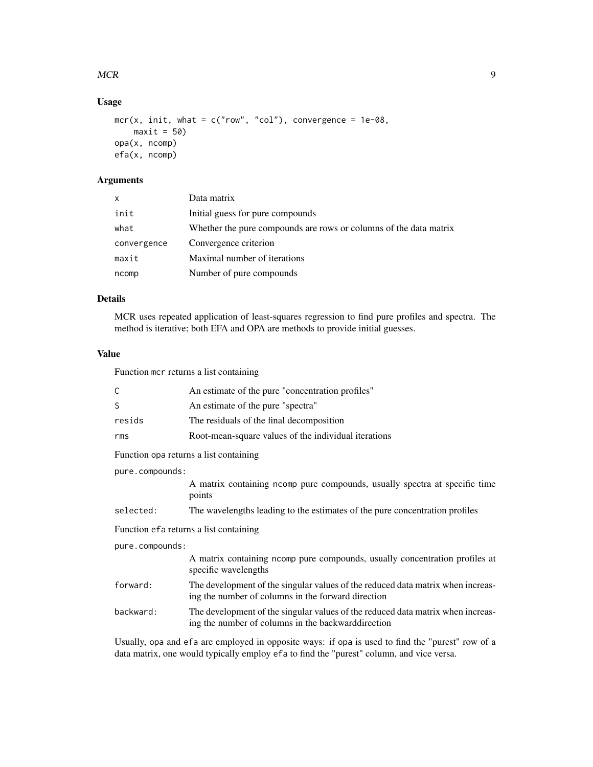#### $MCR$  9

# Usage

```
mcr(x, init, what = c("row", "col"), convergence = 1e-08,maxit = 50opa(x, ncomp)
efa(x, ncomp)
```
# Arguments

| X           | Data matrix                                                       |
|-------------|-------------------------------------------------------------------|
| init        | Initial guess for pure compounds                                  |
| what        | Whether the pure compounds are rows or columns of the data matrix |
| convergence | Convergence criterion                                             |
| maxit       | Maximal number of iterations                                      |
| ncomp       | Number of pure compounds                                          |

# Details

MCR uses repeated application of least-squares regression to find pure profiles and spectra. The method is iterative; both EFA and OPA are methods to provide initial guesses.

# Value

Function mcr returns a list containing

| C               | An estimate of the pure "concentration profiles"                                                                                       |  |  |  |  |
|-----------------|----------------------------------------------------------------------------------------------------------------------------------------|--|--|--|--|
| S               | An estimate of the pure "spectra"                                                                                                      |  |  |  |  |
| resids          | The residuals of the final decomposition                                                                                               |  |  |  |  |
| rms             | Root-mean-square values of the individual iterations                                                                                   |  |  |  |  |
|                 | Function opa returns a list containing                                                                                                 |  |  |  |  |
| pure.compounds: |                                                                                                                                        |  |  |  |  |
|                 | A matrix containing nomp pure compounds, usually spectra at specific time<br>points                                                    |  |  |  |  |
| selected:       | The wavelengths leading to the estimates of the pure concentration profiles                                                            |  |  |  |  |
|                 | Function efa returns a list containing                                                                                                 |  |  |  |  |
| pure.compounds: |                                                                                                                                        |  |  |  |  |
|                 | A matrix containing ncomp pure compounds, usually concentration profiles at<br>specific wavelengths                                    |  |  |  |  |
| forward:        | The development of the singular values of the reduced data matrix when increas-<br>ing the number of columns in the forward direction  |  |  |  |  |
| backward:       | The development of the singular values of the reduced data matrix when increas-<br>ing the number of columns in the backward direction |  |  |  |  |
|                 | Heually, one and efaire employed in opposite ways: if one is used to find the "purest" row of a                                        |  |  |  |  |

Usually, opa and efa are employed in opposite ways: if opa is used to find the "purest" row of a data matrix, one would typically employ efa to find the "purest" column, and vice versa.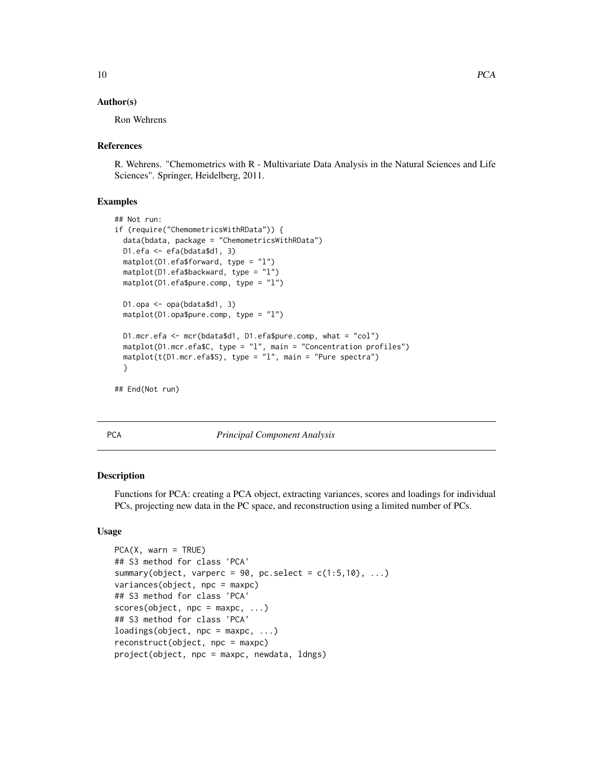#### <span id="page-9-0"></span>Author(s)

Ron Wehrens

#### References

R. Wehrens. "Chemometrics with R - Multivariate Data Analysis in the Natural Sciences and Life Sciences". Springer, Heidelberg, 2011.

#### Examples

```
## Not run:
if (require("ChemometricsWithRData")) {
 data(bdata, package = "ChemometricsWithRData")
 D1.efa <- efa(bdata$d1, 3)
 matplot(D1.efa$forward, type = "l")
 matplot(D1.efa$backward, type = "l")
 matplot(D1.efa$pure.comp, type = "l")
 D1.opa <- opa(bdata$d1, 3)
 matplot(D1.opa$pure.comp, type = "l")
 D1.mcr.efa <- mcr(bdata$d1, D1.efa$pure.comp, what = "col")
 matplot(D1.mcr.efa$C, type = "l", main = "Concentration profiles")
 matplot(t(D1.mcr.efa$S), type = "l", main = "Pure spectra")
 }
## End(Not run)
```
<span id="page-9-1"></span>PCA *Principal Component Analysis*

#### Description

Functions for PCA: creating a PCA object, extracting variances, scores and loadings for individual PCs, projecting new data in the PC space, and reconstruction using a limited number of PCs.

#### Usage

```
PCA(X, warn = TRUE)## S3 method for class 'PCA'
summary(object, varperc = 90, pc.select = c(1:5,10), ...)
variances(object, npc = maxpc)
## S3 method for class 'PCA'
scores(object, npc = maxpc, ...)## S3 method for class 'PCA'
loadings(object, npc = maxpc, ...)reconstruct(object, npc = maxpc)
project(object, npc = maxpc, newdata, ldngs)
```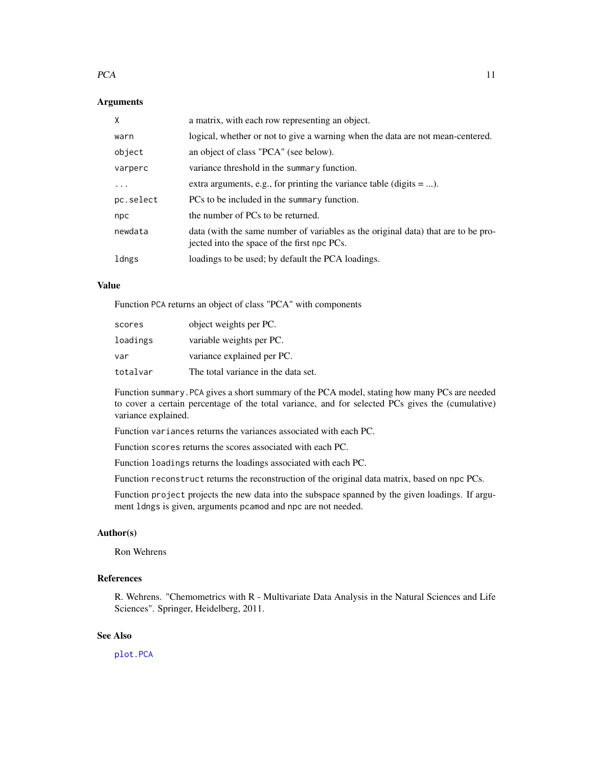#### <span id="page-10-0"></span> $PCA$  11

#### Arguments

| X         | a matrix, with each row representing an object.                                                                                  |
|-----------|----------------------------------------------------------------------------------------------------------------------------------|
| warn      | logical, whether or not to give a warning when the data are not mean-centered.                                                   |
| object    | an object of class "PCA" (see below).                                                                                            |
| varperc   | variance threshold in the summary function.                                                                                      |
| $\cdots$  | extra arguments, e.g., for printing the variance table (digits $=$ ).                                                            |
| pc.select | PCs to be included in the summary function.                                                                                      |
| npc       | the number of PCs to be returned.                                                                                                |
| newdata   | data (with the same number of variables as the original data) that are to be pro-<br>jected into the space of the first npc PCs. |
| ldngs     | loadings to be used; by default the PCA loadings.                                                                                |

#### Value

Function PCA returns an object of class "PCA" with components

| scores   | object weights per PC.              |
|----------|-------------------------------------|
| loadings | variable weights per PC.            |
| var      | variance explained per PC.          |
| totalvar | The total variance in the data set. |

Function summary.PCA gives a short summary of the PCA model, stating how many PCs are needed to cover a certain percentage of the total variance, and for selected PCs gives the (cumulative) variance explained.

Function variances returns the variances associated with each PC.

Function scores returns the scores associated with each PC.

Function loadings returns the loadings associated with each PC.

Function reconstruct returns the reconstruction of the original data matrix, based on npc PCs.

Function project projects the new data into the subspace spanned by the given loadings. If argument ldngs is given, arguments pcamod and npc are not needed.

# Author(s)

Ron Wehrens

# References

R. Wehrens. "Chemometrics with R - Multivariate Data Analysis in the Natural Sciences and Life Sciences". Springer, Heidelberg, 2011.

# See Also

[plot.PCA](#page-11-1)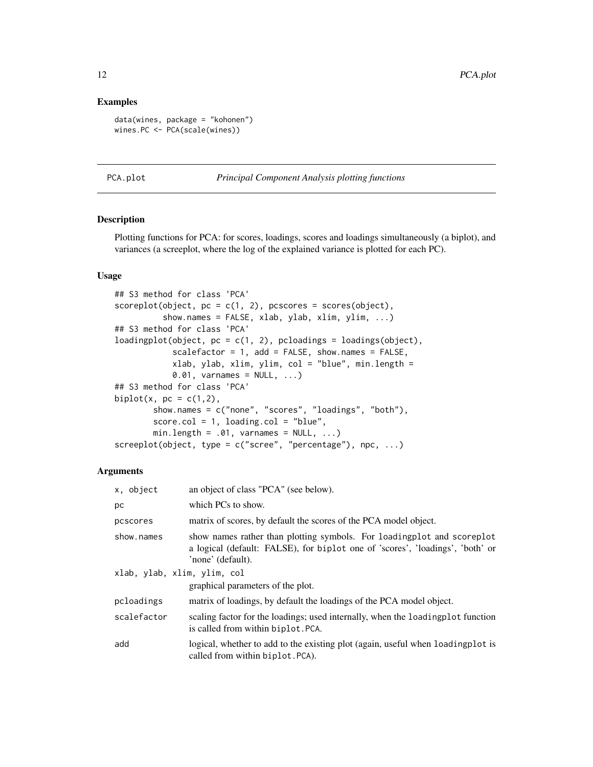#### <span id="page-11-0"></span>Examples

```
data(wines, package = "kohonen")
wines.PC <- PCA(scale(wines))
```
PCA.plot *Principal Component Analysis plotting functions*

# <span id="page-11-1"></span>**Description**

Plotting functions for PCA: for scores, loadings, scores and loadings simultaneously (a biplot), and variances (a screeplot, where the log of the explained variance is plotted for each PC).

# Usage

```
## S3 method for class 'PCA'
scoreplot(object, pc = c(1, 2), pcscores = scores(object),
          show.names = FALSE, xlab, ylab, xlim, ylim, ...)
## S3 method for class 'PCA'
loadingplot(object, pc = c(1, 2), pcloadings = loadings(object),
            scalefactor = 1, add = FALSE, show.names = FALSE,
            xlab, ylab, xlim, ylim, col = "blue", min.length =
            0.01, varnames = NULL, \ldots)
## S3 method for class 'PCA'
biplot(x, pc = c(1,2),
       show.names = c("none", "scores", "loadings", "both"),
       score.col = 1, loading.col = "blue",min.length = .01, varnames = NULL, ...)
screeplot(object, type = c("scree", "percentage"), npc, ...)
```
#### Arguments

| x, object                   | an object of class "PCA" (see below).                                                                                                                                         |  |
|-----------------------------|-------------------------------------------------------------------------------------------------------------------------------------------------------------------------------|--|
| рc                          | which PCs to show.                                                                                                                                                            |  |
| pcscores                    | matrix of scores, by default the scores of the PCA model object.                                                                                                              |  |
| show.names                  | show names rather than plotting symbols. For loading plot and scoreplot<br>a logical (default: FALSE), for biplot one of 'scores', 'loadings', 'both' or<br>'none' (default). |  |
| xlab, ylab, xlim, ylim, col |                                                                                                                                                                               |  |
|                             | graphical parameters of the plot.                                                                                                                                             |  |
| pcloadings                  | matrix of loadings, by default the loadings of the PCA model object.                                                                                                          |  |
| scalefactor                 | scaling factor for the loadings; used internally, when the loading plot function<br>is called from within biplot. PCA.                                                        |  |
| add                         | logical, whether to add to the existing plot (again, useful when loading plot is<br>called from within biplot. PCA).                                                          |  |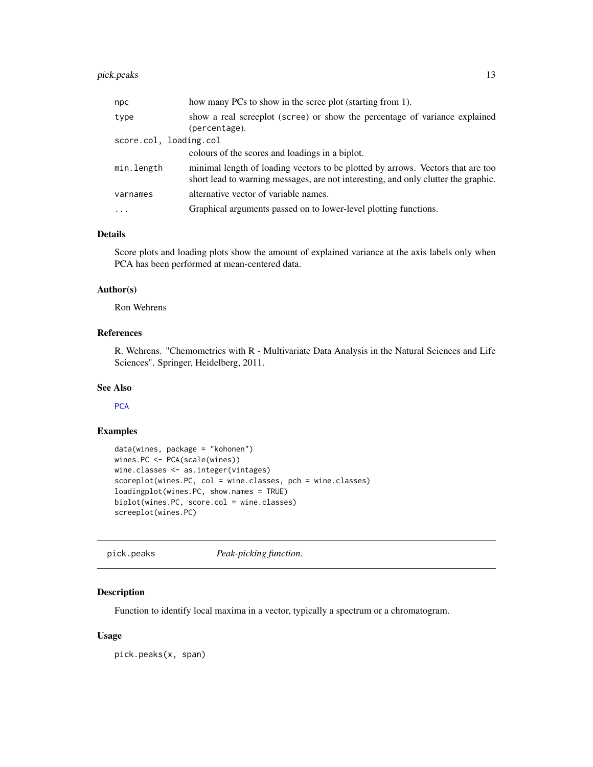# <span id="page-12-0"></span>pick.peaks 13

| npc                    | how many PCs to show in the scree plot (starting from 1).                                                                                                             |
|------------------------|-----------------------------------------------------------------------------------------------------------------------------------------------------------------------|
| type                   | show a real screeplot (scree) or show the percentage of variance explained<br>(percentage).                                                                           |
| score.col, loading.col |                                                                                                                                                                       |
|                        | colours of the scores and loadings in a biplot.                                                                                                                       |
| min.length             | minimal length of loading vectors to be plotted by arrows. Vectors that are too<br>short lead to warning messages, are not interesting, and only clutter the graphic. |
| varnames               | alternative vector of variable names.                                                                                                                                 |
| $\cdots$               | Graphical arguments passed on to lower-level plotting functions.                                                                                                      |

# Details

Score plots and loading plots show the amount of explained variance at the axis labels only when PCA has been performed at mean-centered data.

#### Author(s)

Ron Wehrens

# References

R. Wehrens. "Chemometrics with R - Multivariate Data Analysis in the Natural Sciences and Life Sciences". Springer, Heidelberg, 2011.

#### See Also

**[PCA](#page-9-1)** 

# Examples

```
data(wines, package = "kohonen")
wines.PC <- PCA(scale(wines))
wine.classes <- as.integer(vintages)
scoreplot(wines.PC, col = wine.classes, pch = wine.classes)
loadingplot(wines.PC, show.names = TRUE)
biplot(wines.PC, score.col = wine.classes)
screeplot(wines.PC)
```
pick.peaks *Peak-picking function.*

#### Description

Function to identify local maxima in a vector, typically a spectrum or a chromatogram.

#### Usage

pick.peaks(x, span)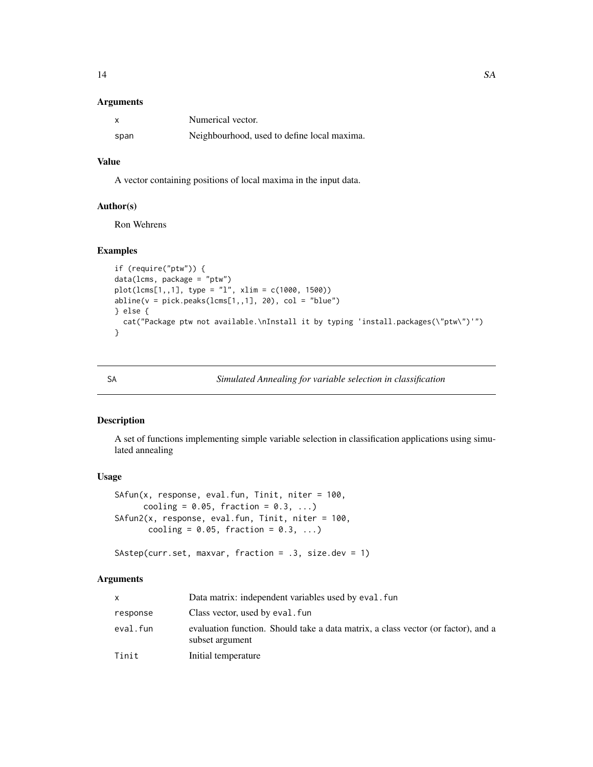#### <span id="page-13-0"></span>Arguments

|      | Numerical vector.                           |
|------|---------------------------------------------|
| span | Neighbourhood, used to define local maxima. |

# Value

A vector containing positions of local maxima in the input data.

# Author(s)

Ron Wehrens

# Examples

```
if (require("ptw")) {
data(lcms, package = "ptw")
plot(lcms[1,,1], type = "l", xlim = c(1000, 1500))
abline(v = pick.peaks(lcms[1, 1], 20), col = "blue")} else {
  cat("Package ptw not available.\nInstall it by typing 'install.packages(\"ptw\")'")
}
```
<span id="page-13-1"></span>SA *Simulated Annealing for variable selection in classification*

# Description

A set of functions implementing simple variable selection in classification applications using simulated annealing

# Usage

```
SAfun(x, response, eval.fun, Tinit, niter = 100,
     cooling = 0.05, fraction = 0.3, ...)
SAfun2(x, response, eval.fun, Tinit, niter = 100,
       cooling = 0.05, fraction = 0.3, ...)
```
# SAstep(curr.set, maxvar, fraction = .3, size.dev = 1)

# Arguments

|          | Data matrix: independent variables used by eval. fun                                                 |
|----------|------------------------------------------------------------------------------------------------------|
| response | Class vector, used by eval. fun                                                                      |
| eval.fun | evaluation function. Should take a data matrix, a class vector (or factor), and a<br>subset argument |
| Tinit    | Initial temperature                                                                                  |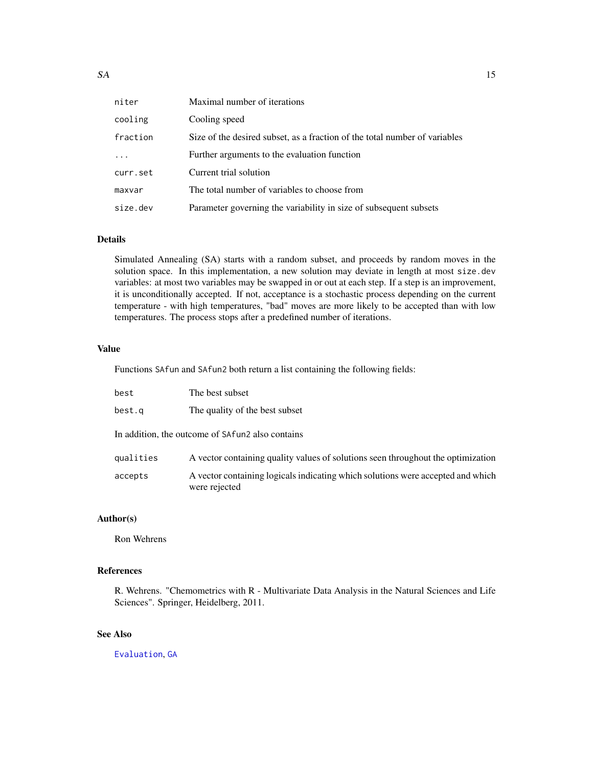<span id="page-14-0"></span>

| niter      | Maximal number of iterations                                               |
|------------|----------------------------------------------------------------------------|
| cooling    | Cooling speed                                                              |
| fraction   | Size of the desired subset, as a fraction of the total number of variables |
| $\ddots$ . | Further arguments to the evaluation function                               |
| curr.set   | Current trial solution                                                     |
| maxvar     | The total number of variables to choose from                               |
| size.dev   | Parameter governing the variability in size of subsequent subsets          |

#### Details

Simulated Annealing (SA) starts with a random subset, and proceeds by random moves in the solution space. In this implementation, a new solution may deviate in length at most size.dev variables: at most two variables may be swapped in or out at each step. If a step is an improvement, it is unconditionally accepted. If not, acceptance is a stochastic process depending on the current temperature - with high temperatures, "bad" moves are more likely to be accepted than with low temperatures. The process stops after a predefined number of iterations.

#### Value

Functions SAfun and SAfun2 both return a list containing the following fields:

| best                                             | The best subset                                                                                  |
|--------------------------------------------------|--------------------------------------------------------------------------------------------------|
| best.q                                           | The quality of the best subset                                                                   |
| In addition, the outcome of SAfun2 also contains |                                                                                                  |
| qualities                                        | A vector containing quality values of solutions seen throughout the optimization                 |
| accepts                                          | A vector containing logicals indicating which solutions were accepted and which<br>were rejected |

# Author(s)

Ron Wehrens

# References

R. Wehrens. "Chemometrics with R - Multivariate Data Analysis in the Natural Sciences and Life Sciences". Springer, Heidelberg, 2011.

# See Also

[Evaluation](#page-3-1), [GA](#page-4-1)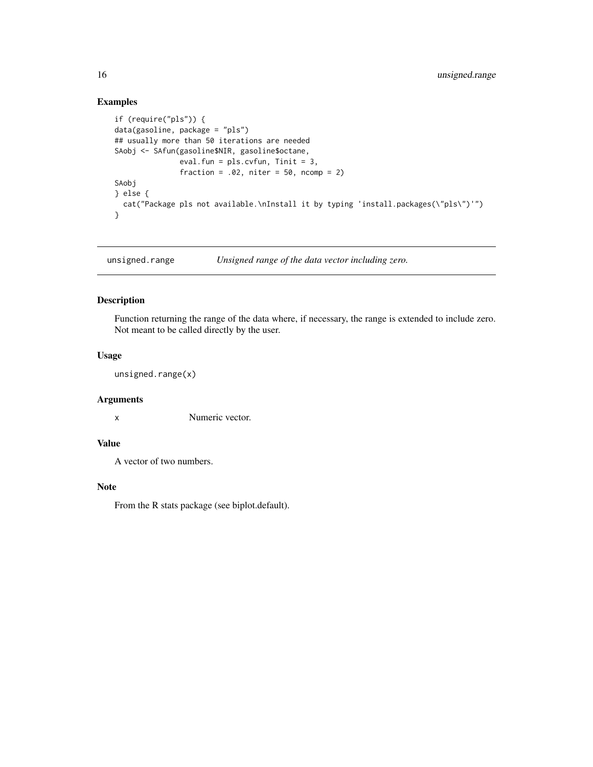# Examples

```
if (require("pls")) {
data(gasoline, package = "pls")
## usually more than 50 iterations are needed
SAobj <- SAfun(gasoline$NIR, gasoline$octane,
               eval.fun = pls.cvfun, Tinit = 3,
               fraction = .02, niter = 50, ncomp = 2)
SAobj
} else {
  cat("Package pls not available.\nInstall it by typing 'install.packages(\"pls\")'")
}
```
unsigned.range *Unsigned range of the data vector including zero.*

### Description

Function returning the range of the data where, if necessary, the range is extended to include zero. Not meant to be called directly by the user.

# Usage

unsigned.range(x)

# Arguments

x Numeric vector.

# Value

A vector of two numbers.

### Note

From the R stats package (see biplot.default).

<span id="page-15-0"></span>